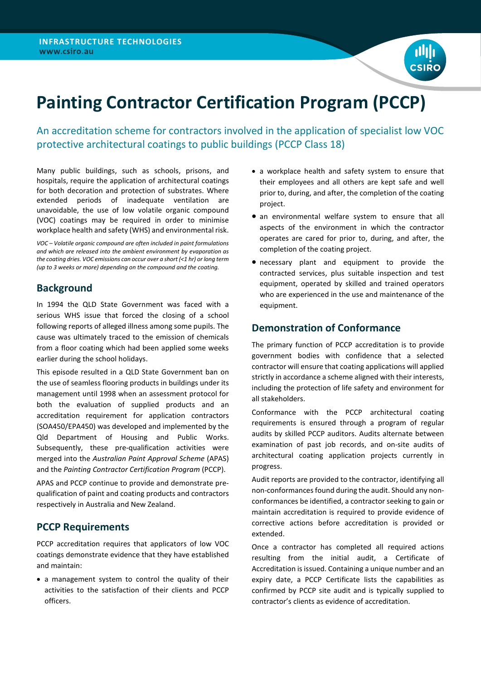

# **Painting Contractor Certification Program (PCCP)**

An accreditation scheme for contractors involved in the application of specialist low VOC protective architectural coatings to public buildings (PCCP Class 18)

Many public buildings, such as schools, prisons, and hospitals, require the application of architectural coatings for both decoration and protection of substrates. Where extended periods of inadequate ventilation are unavoidable, the use of low volatile organic compound (VOC) coatings may be required in order to minimise workplace health and safety (WHS) and environmental risk.

*VOC – Volatile organic compound are often included in paint formulations and which are released into the ambient environment by evaporation as the coating dries. VOC emissions can occur over a short (<1 hr) or long term (up to 3 weeks or more) depending on the compound and the coating.*

## **Background**

In 1994 the QLD State Government was faced with a serious WHS issue that forced the closing of a school following reports of alleged illness among some pupils. The cause was ultimately traced to the emission of chemicals from a floor coating which had been applied some weeks earlier during the school holidays.

This episode resulted in a QLD State Government ban on the use of seamless flooring products in buildings under its management until 1998 when an assessment protocol for both the evaluation of supplied products and an accreditation requirement for application contractors (SOA450/EPA450) was developed and implemented by the Qld Department of Housing and Public Works. Subsequently, these pre-qualification activities were merged into the *Australian Paint Approval Scheme* (APAS) and the *Painting Contractor Certification Program* (PCCP).

APAS and PCCP continue to provide and demonstrate prequalification of paint and coating products and contractors respectively in Australia and New Zealand.

# **PCCP Requirements**

PCCP accreditation requires that applicators of low VOC coatings demonstrate evidence that they have established and maintain:

• a management system to control the quality of their activities to the satisfaction of their clients and PCCP officers.

- a workplace health and safety system to ensure that their employees and all others are kept safe and well prior to, during, and after, the completion of the coating project.
- an environmental welfare system to ensure that all aspects of the environment in which the contractor operates are cared for prior to, during, and after, the completion of the coating project.
- necessary plant and equipment to provide the contracted services, plus suitable inspection and test equipment, operated by skilled and trained operators who are experienced in the use and maintenance of the equipment.

# **Demonstration of Conformance**

The primary function of PCCP accreditation is to provide government bodies with confidence that a selected contractor will ensure that coating applications will applied strictly in accordance a scheme aligned with their interests, including the protection of life safety and environment for all stakeholders.

Conformance with the PCCP architectural coating requirements is ensured through a program of regular audits by skilled PCCP auditors. Audits alternate between examination of past job records, and on-site audits of architectural coating application projects currently in progress.

Audit reports are provided to the contractor, identifying all non-conformances found during the audit. Should any nonconformances be identified, a contractor seeking to gain or maintain accreditation is required to provide evidence of corrective actions before accreditation is provided or extended.

Once a contractor has completed all required actions resulting from the initial audit, a Certificate of Accreditation is issued. Containing a unique number and an expiry date, a PCCP Certificate lists the capabilities as confirmed by PCCP site audit and is typically supplied to contractor's clients as evidence of accreditation.